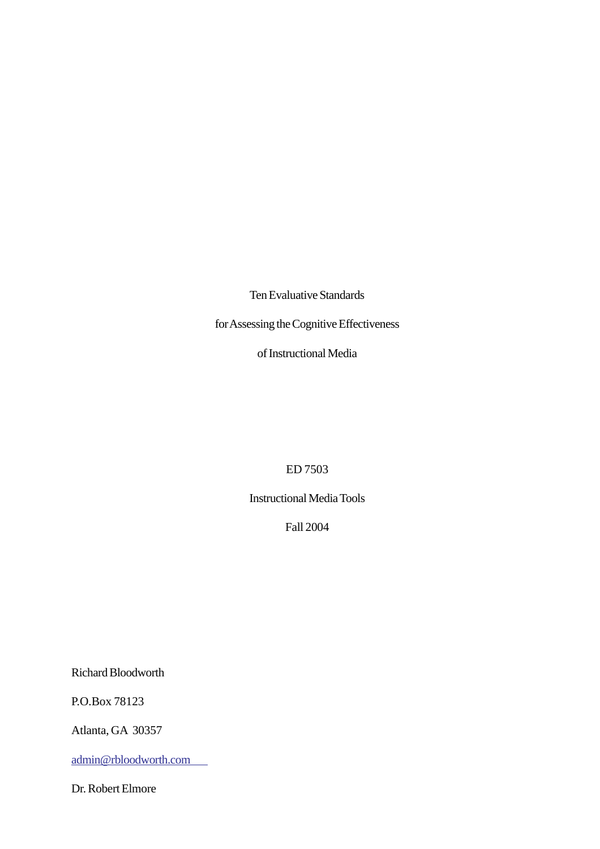Ten Evaluative Standards

for Assessing the Cognitive Effectiveness

of Instructional Media

ED 7503

Instructional Media Tools

Fall 2004

Richard Bloodworth

P.O.Box 78123

Atlanta, GA 30357

admin@rbloodworth.com

Dr. Robert Elmore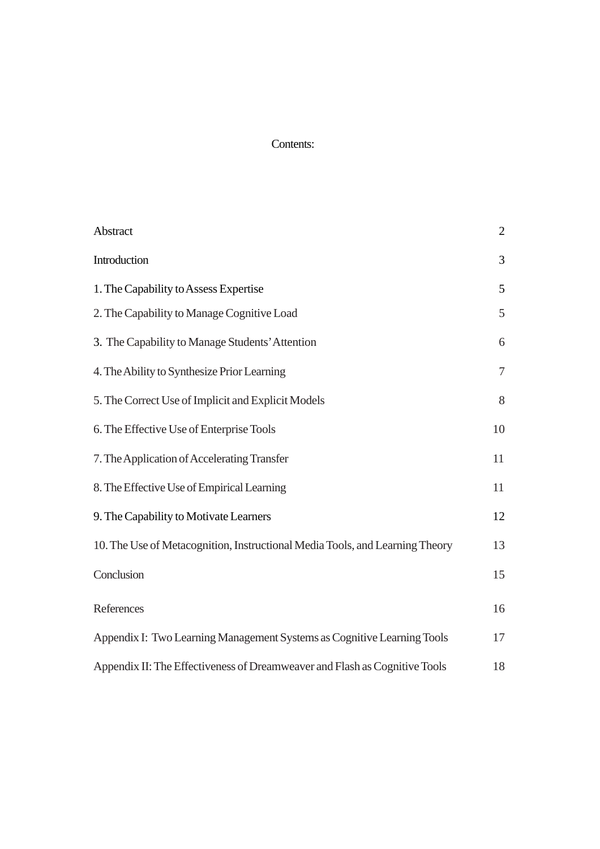# Contents:

| Abstract                                                                     | $\overline{2}$ |
|------------------------------------------------------------------------------|----------------|
| Introduction                                                                 | 3              |
| 1. The Capability to Assess Expertise                                        | 5              |
| 2. The Capability to Manage Cognitive Load                                   | 5              |
| 3. The Capability to Manage Students' Attention                              | 6              |
| 4. The Ability to Synthesize Prior Learning                                  | $\overline{7}$ |
| 5. The Correct Use of Implicit and Explicit Models                           | 8              |
| 6. The Effective Use of Enterprise Tools                                     | 10             |
| 7. The Application of Accelerating Transfer                                  | 11             |
| 8. The Effective Use of Empirical Learning                                   | 11             |
| 9. The Capability to Motivate Learners                                       | 12             |
| 10. The Use of Metacognition, Instructional Media Tools, and Learning Theory | 13             |
| Conclusion                                                                   | 15             |
| References                                                                   | 16             |
| Appendix I: Two Learning Management Systems as Cognitive Learning Tools      | 17             |
| Appendix II: The Effectiveness of Dreamweaver and Flash as Cognitive Tools   | 18             |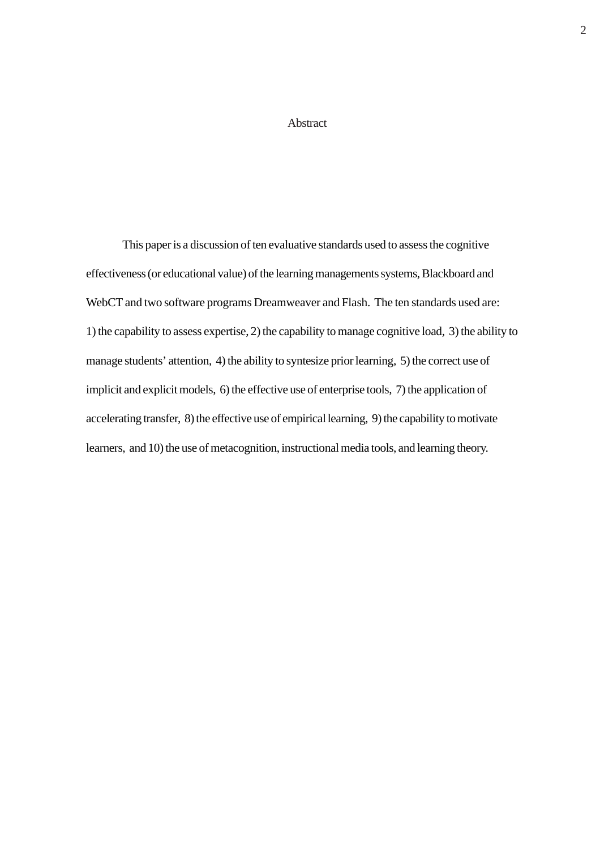## Abstract

<span id="page-2-0"></span>This paper is a discussion of ten evaluative standards used to assess the cognitive effectiveness (or educational value) of the learning managements systems, Blackboard and WebCT and two software programs Dreamweaver and Flash. The ten standards used are: 1) the capability to assess expertise, 2) the capability to manage cognitive load, 3) the ability to manage students' attention, 4) the ability to syntesize prior learning, 5) the correct use of implicit and explicit models, 6) the effective use of enterprise tools, 7) the application of accelerating transfer, 8) the effective use of empirical learning, 9) the capability to motivate learners, and 10) the use of metacognition, instructional media tools, and learning theory.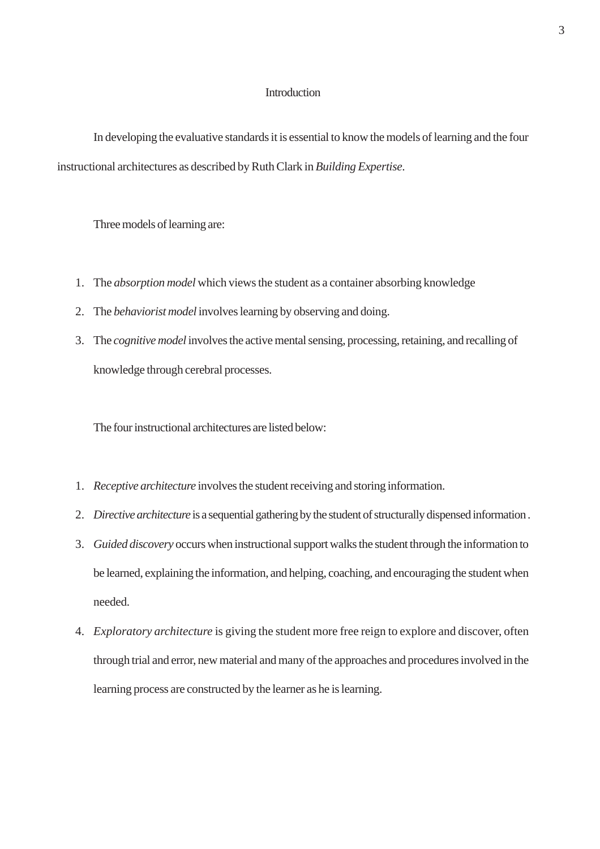#### Introduction

<span id="page-3-0"></span>In developing the evaluative standards it is essential to know the models of learning and the four instructional architectures as described by Ruth Clark in *Building Expertise*.

Three models of learning are:

- 1. The *absorption model* which views the student as a container absorbing knowledge
- 2. The *behaviorist model* involves learning by observing and doing.
- 3. The *cognitive model* involves the active mental sensing, processing, retaining, and recalling of knowledge through cerebral processes.

The four instructional architectures are listed below:

- 1. *Receptive architecture* involves the student receiving and storing information.
- 2. *Directive architecture* is a sequential gathering by the student of structurally dispensed information .
- 3. *Guided discovery* occurs when instructional support walks the student through the information to be learned, explaining the information, and helping, coaching, and encouraging the student when needed.
- 4. *Exploratory architecture* is giving the student more free reign to explore and discover, often through trial and error, new material and many of the approaches and procedures involved in the learning process are constructed by the learner as he is learning.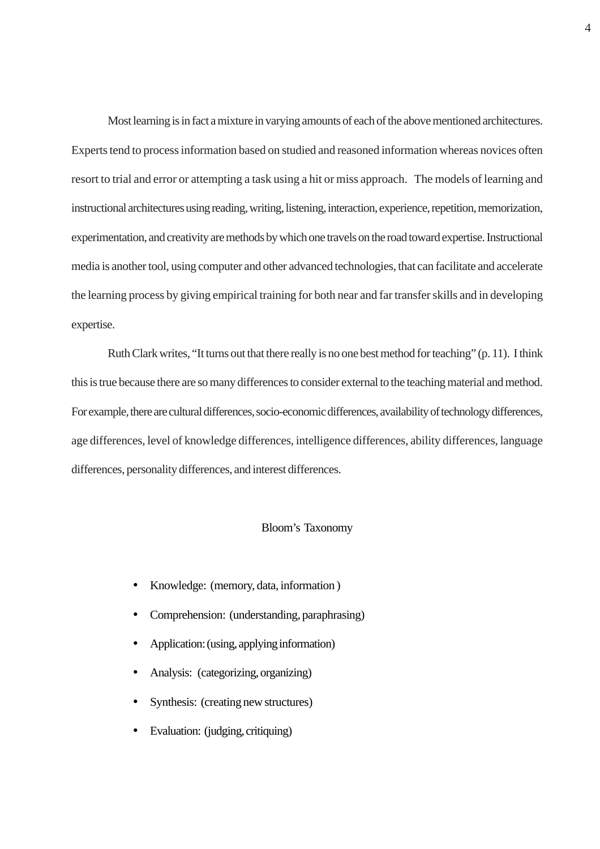Most learning is in fact a mixture in varying amounts of each of the above mentioned architectures. Experts tend to process information based on studied and reasoned information whereas novices often resort to trial and error or attempting a task using a hit or miss approach. The models of learning and instructional architectures using reading, writing, listening, interaction, experience, repetition, memorization, experimentation, and creativity are methods by which one travels on the road toward expertise. Instructional media is another tool, using computer and other advanced technologies, that can facilitate and accelerate the learning process by giving empirical training for both near and far transfer skills and in developing expertise.

Ruth Clark writes, "It turns out that there really is no one best method for teaching" (p. 11). I think this is true because there are so many differences to consider external to the teaching material and method. For example, there are cultural differences, socio-economic differences, availability of technology differences, age differences, level of knowledge differences, intelligence differences, ability differences, language differences, personality differences, and interest differences.

#### Bloom's Taxonomy

- Knowledge: (memory, data, information )
- Comprehension: (understanding, paraphrasing)
- Application: (using, applying information)
- Analysis: (categorizing, organizing)
- Synthesis: (creating new structures)
- Evaluation: (judging, critiquing)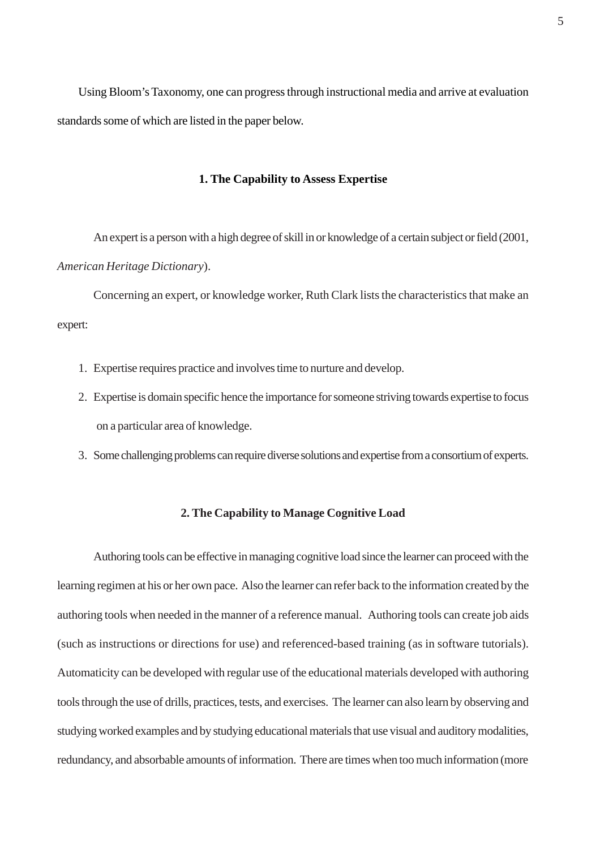<span id="page-5-0"></span>Using Bloom's Taxonomy, one can progress through instructional media and arrive at evaluation standards some of which are listed in the paper below.

## **1. The Capability to Assess Expertise**

An expert is a person with a high degree of skill in or knowledge of a certain subject or field (2001, *American Heritage Dictionary*).

Concerning an expert, or knowledge worker, Ruth Clark lists the characteristics that make an expert:

- 1. Expertise requires practice and involves time to nurture and develop.
- 2. Expertise is domain specific hence the importance for someone striving towards expertise to focus on a particular area of knowledge.
- 3. Some challenging problems can require diverse solutions and expertise from a consortium of experts.

## **2. The Capability to Manage Cognitive Load**

Authoring tools can be effective in managing cognitive load since the learner can proceed with the learning regimen at his or her own pace. Also the learner can refer back to the information created by the authoring tools when needed in the manner of a reference manual. Authoring tools can create job aids (such as instructions or directions for use) and referenced-based training (as in software tutorials). Automaticity can be developed with regular use of the educational materials developed with authoring tools through the use of drills, practices, tests, and exercises. The learner can also learn by observing and studying worked examples and by studying educational materials that use visual and auditory modalities, redundancy, and absorbable amounts of information. There are times when too much information (more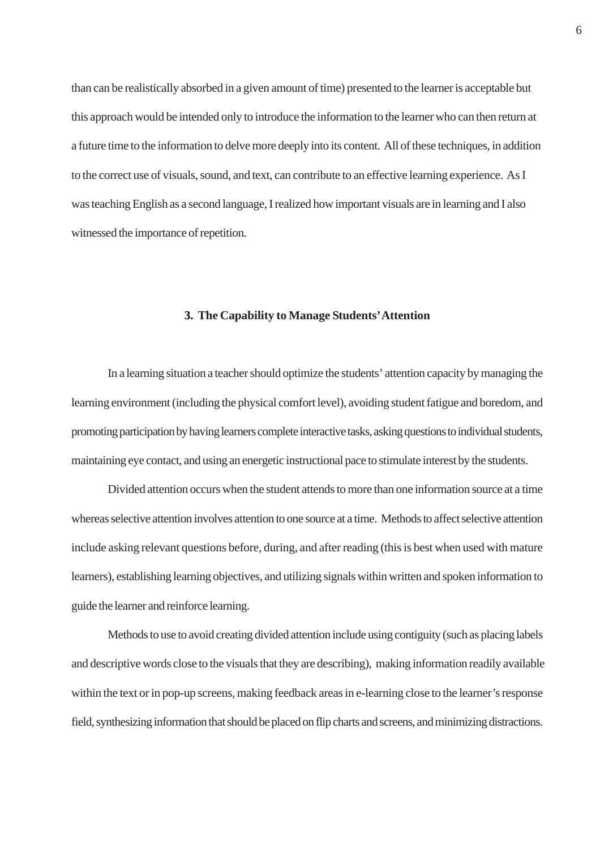<span id="page-6-0"></span>than can be realistically absorbed in a given amount of time) presented to the learner is acceptable but this approach would be intended only to introduce the information to the learner who can then return at a future time to the information to delve more deeply into its content. All of these techniques, in addition to the correct use of visuals, sound, and text, can contribute to an effective learning experience. As I was teaching English as a second language, I realized how important visuals are in learning and I also witnessed the importance of repetition.

## **3. The Capability to Manage Students' Attention**

In a learning situation a teacher should optimize the students' attention capacity by managing the learning environment (including the physical comfort level), avoiding student fatigue and boredom, and promoting participation by having learners complete interactive tasks, asking questions to individual students, maintaining eye contact, and using an energetic instructional pace to stimulate interest by the students.

Divided attention occurs when the student attends to more than one information source at a time whereas selective attention involves attention to one source at a time. Methods to affect selective attention include asking relevant questions before, during, and after reading (this is best when used with mature learners), establishing learning objectives, and utilizing signals within written and spoken information to guide the learner and reinforce learning.

Methods to use to avoid creating divided attention include using contiguity (such as placing labels and descriptive words close to the visuals that they are describing), making information readily available within the text or in pop-up screens, making feedback areas in e-learning close to the learner's response field, synthesizing information that should be placed on flip charts and screens, and minimizing distractions.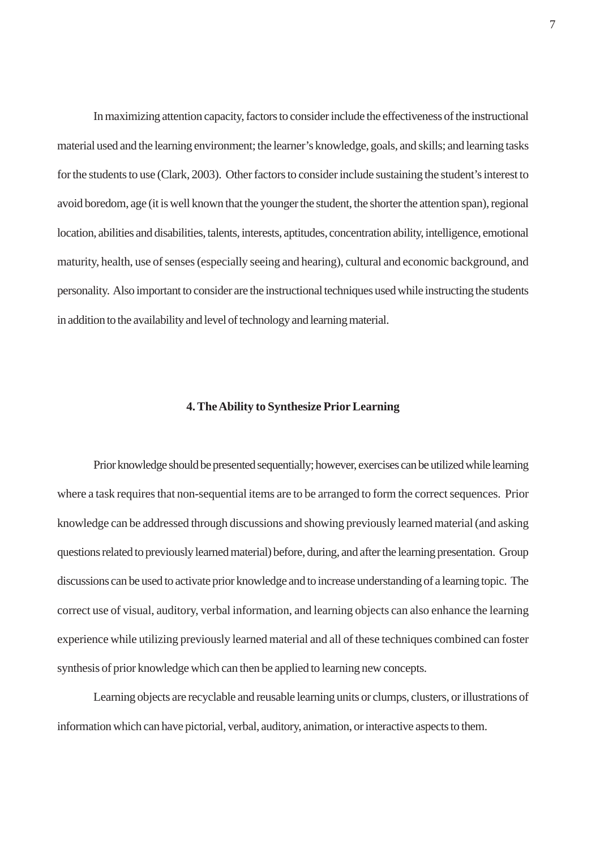<span id="page-7-0"></span>In maximizing attention capacity, factors to consider include the effectiveness of the instructional material used and the learning environment; the learner's knowledge, goals, and skills; and learning tasks for the students to use (Clark, 2003). Other factors to consider include sustaining the student's interest to avoid boredom, age (it is well known that the younger the student, the shorter the attention span), regional location, abilities and disabilities, talents, interests, aptitudes, concentration ability, intelligence, emotional maturity, health, use of senses (especially seeing and hearing), cultural and economic background, and personality. Also important to consider are the instructional techniques used while instructing the students in addition to the availability and level of technology and learning material.

#### **4. The Ability to Synthesize Prior Learning**

Prior knowledge should be presented sequentially; however, exercises can be utilized while learning where a task requires that non-sequential items are to be arranged to form the correct sequences. Prior knowledge can be addressed through discussions and showing previously learned material (and asking questions related to previously learned material) before, during, and after the learning presentation. Group discussions can be used to activate prior knowledge and to increase understanding of a learning topic. The correct use of visual, auditory, verbal information, and learning objects can also enhance the learning experience while utilizing previously learned material and all of these techniques combined can foster synthesis of prior knowledge which can then be applied to learning new concepts.

Learning objects are recyclable and reusable learning units or clumps, clusters, or illustrations of information which can have pictorial, verbal, auditory, animation, or interactive aspects to them.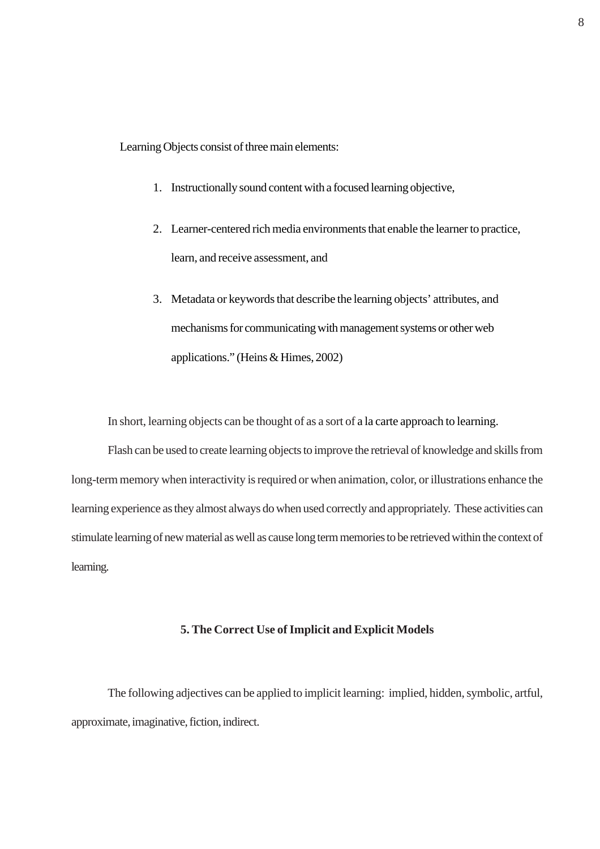<span id="page-8-0"></span>Learning Objects consist of three main elements:

- 1. Instructionally sound content with a focused learning objective,
- 2. Learner-centered rich media environments that enable the learner to practice, learn, and receive assessment, and
- 3. Metadata or keywords that describe the learning objects' attributes, and mechanisms for communicating with management systems or other web applications." (Heins & Himes, 2002)

In short, learning objects can be thought of as a sort of a la carte approach to learning.

Flash can be used to create learning objects to improve the retrieval of knowledge and skills from long-term memory when interactivity is required or when animation, color, or illustrations enhance the learning experience as they almost always do when used correctly and appropriately. These activities can stimulate learning of new material as well as cause long term memories to be retrieved within the context of learning.

## **5. The Correct Use of Implicit and Explicit Models**

The following adjectives can be applied to implicit learning: implied, hidden, symbolic, artful, approximate, imaginative, fiction, indirect.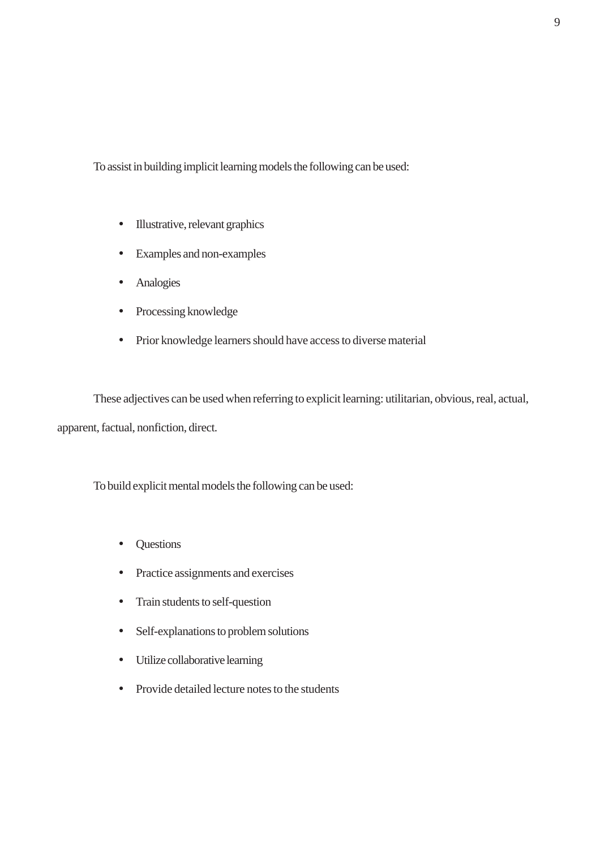To assist in building implicit learning models the following can be used:

- Illustrative, relevant graphics
- Examples and non-examples
- Analogies
- Processing knowledge
- Prior knowledge learners should have access to diverse material

These adjectives can be used when referring to explicit learning: utilitarian, obvious, real, actual, apparent, factual, nonfiction, direct.

To build explicit mental models the following can be used:

- Questions
- Practice assignments and exercises
- Train students to self-question
- Self-explanations to problem solutions
- Utilize collaborative learning
- Provide detailed lecture notes to the students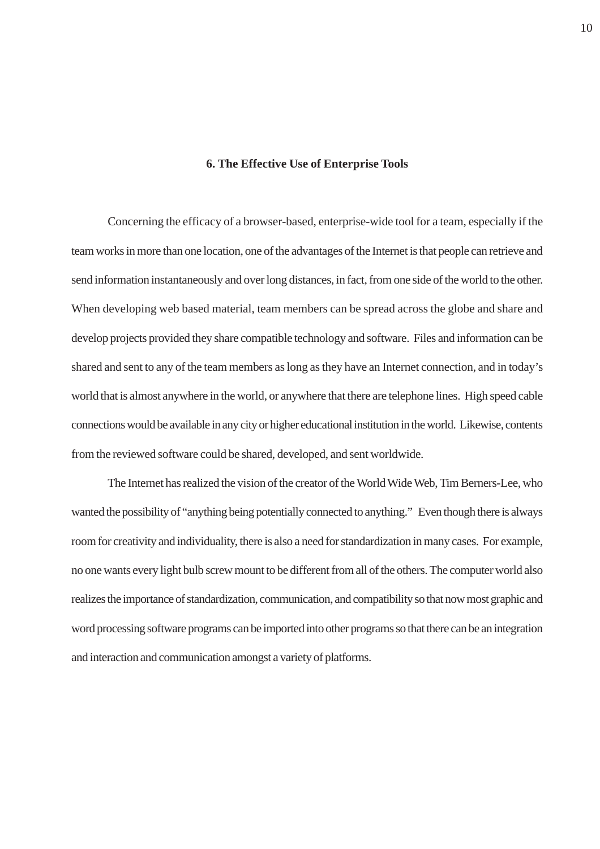#### **6. The Effective Use of Enterprise Tools**

<span id="page-10-0"></span>Concerning the efficacy of a browser-based, enterprise-wide tool for a team, especially if the team works in more than one location, one of the advantages of the Internet is that people can retrieve and send information instantaneously and over long distances, in fact, from one side of the world to the other. When developing web based material, team members can be spread across the globe and share and develop projects provided they share compatible technology and software. Files and information can be shared and sent to any of the team members as long as they have an Internet connection, and in today's world that is almost anywhere in the world, or anywhere that there are telephone lines. High speed cable connections would be available in any city or higher educational institution in the world. Likewise, contents from the reviewed software could be shared, developed, and sent worldwide.

The Internet has realized the vision of the creator of the World Wide Web, Tim Berners-Lee, who wanted the possibility of "anything being potentially connected to anything." Even though there is always room for creativity and individuality, there is also a need for standardization in many cases. For example, no one wants every light bulb screw mount to be different from all of the others. The computer world also realizes the importance of standardization, communication, and compatibility so that now most graphic and word processing software programs can be imported into other programs so that there can be an integration and interaction and communication amongst a variety of platforms.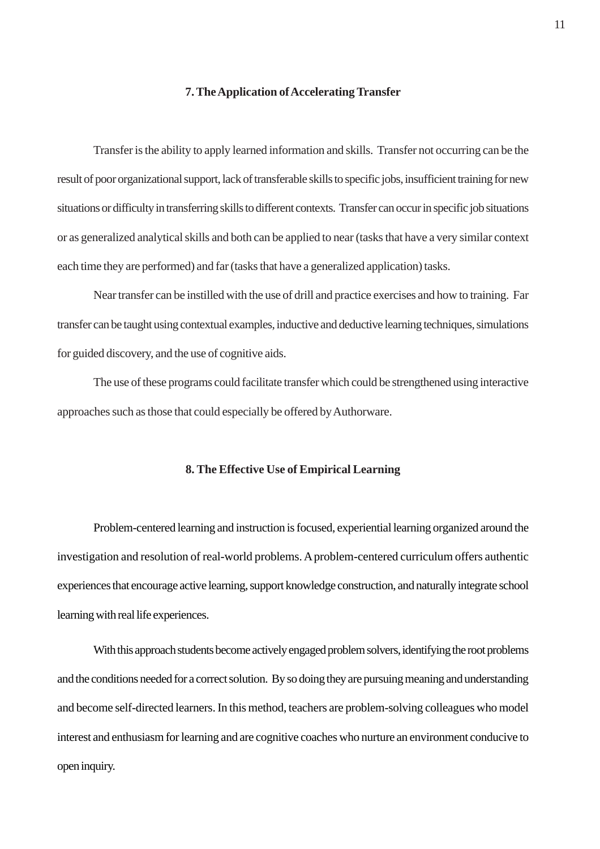#### **7. The Application of Accelerating Transfer**

<span id="page-11-0"></span>Transfer is the ability to apply learned information and skills. Transfer not occurring can be the result of poor organizational support, lack of transferable skills to specific jobs, insufficient training for new situations or difficulty in transferring skills to different contexts. Transfer can occur in specific job situations or as generalized analytical skills and both can be applied to near (tasks that have a very similar context each time they are performed) and far (tasks that have a generalized application) tasks.

Near transfer can be instilled with the use of drill and practice exercises and how to training. Far transfer can be taught using contextual examples, inductive and deductive learning techniques, simulations for guided discovery, and the use of cognitive aids.

The use of these programs could facilitate transfer which could be strengthened using interactive approaches such as those that could especially be offered by Authorware.

#### **8. The Effective Use of Empirical Learning**

Problem-centered learning and instruction is focused, experiential learning organized around the investigation and resolution of real-world problems. A problem-centered curriculum offers authentic experiences that encourage active learning, support knowledge construction, and naturally integrate school learning with real life experiences.

With this approach students become actively engaged problem solvers, identifying the root problems and the conditions needed for a correct solution. By so doing they are pursuing meaning and understanding and become self-directed learners. In this method, teachers are problem-solving colleagues who model interest and enthusiasm for learning and are cognitive coaches who nurture an environment conducive to open inquiry.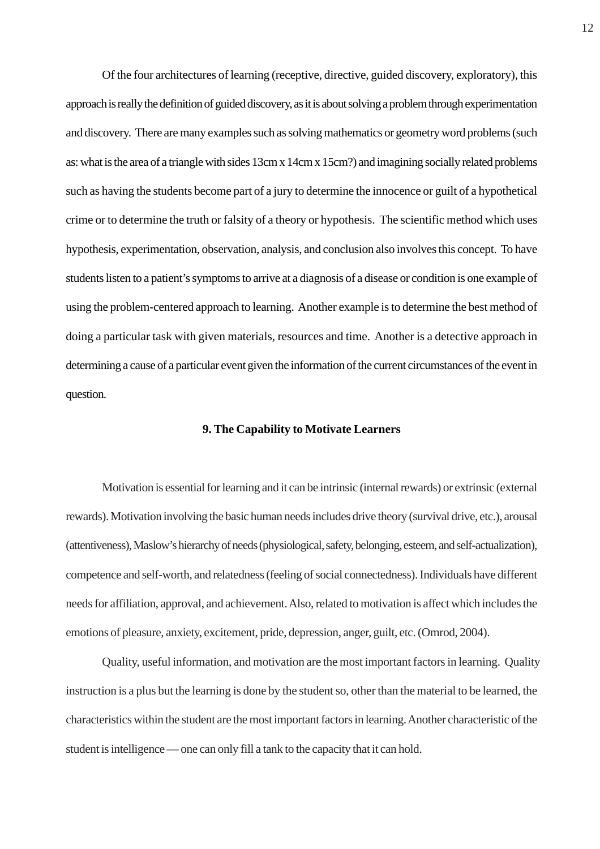<span id="page-12-0"></span>Of the four architectures of learning (receptive, directive, guided discovery, exploratory), this approach is really the definition of guided discovery, as it is about solving a problem through experimentation and discovery. There are many examples such as solving mathematics or geometry word problems (such as: what is the area of a triangle with sides 13cm x 14cm x 15cm?) and imagining socially related problems such as having the students become part of a jury to determine the innocence or guilt of a hypothetical crime or to determine the truth or falsity of a theory or hypothesis. The scientific method which uses hypothesis, experimentation, observation, analysis, and conclusion also involves this concept. To have students listen to a patient's symptoms to arrive at a diagnosis of a disease or condition is one example of using the problem-centered approach to learning. Another example is to determine the best method of doing a particular task with given materials, resources and time. Another is a detective approach in determining a cause of a particular event given the information of the current circumstances of the event in question.

## **9. The Capability to Motivate Learners**

Motivation is essential for learning and it can be intrinsic (internal rewards) or extrinsic (external rewards). Motivation involving the basic human needs includes drive theory (survival drive, etc.), arousal (attentiveness), Maslow's hierarchy of needs (physiological, safety, belonging, esteem, and self-actualization), competence and self-worth, and relatedness (feeling of social connectedness). Individuals have different needs for affiliation, approval, and achievement. Also, related to motivation is affect which includes the emotions of pleasure, anxiety, excitement, pride, depression, anger, guilt, etc. (Omrod, 2004).

Quality, useful information, and motivation are the most important factors in learning. Quality instruction is a plus but the learning is done by the student so, other than the material to be learned, the characteristics within the student are the most important factors in learning. Another characteristic of the student is intelligence — one can only fill a tank to the capacity that it can hold.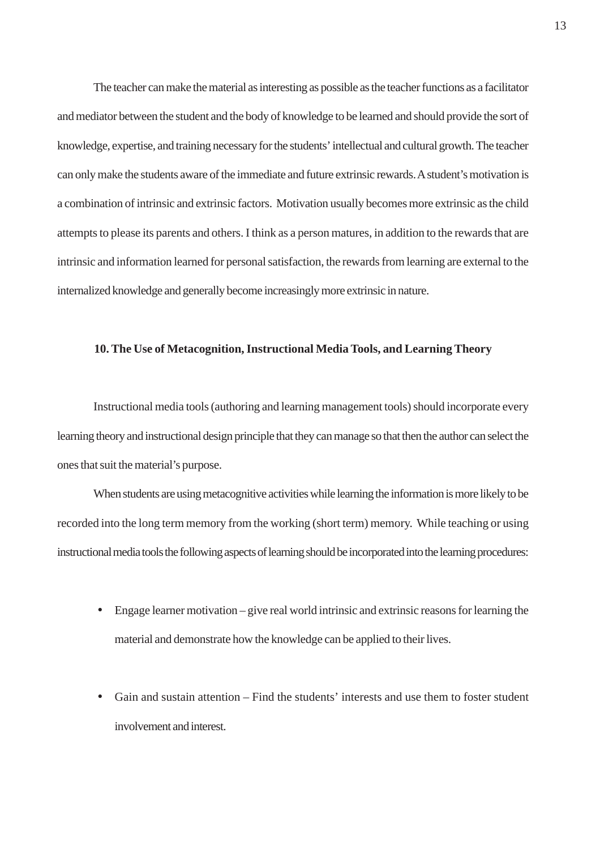<span id="page-13-0"></span>The teacher can make the material as interesting as possible as the teacher functions as a facilitator and mediator between the student and the body of knowledge to be learned and should provide the sort of knowledge, expertise, and training necessary for the students' intellectual and cultural growth. The teacher can only make the students aware of the immediate and future extrinsic rewards. A student's motivation is a combination of intrinsic and extrinsic factors. Motivation usually becomes more extrinsic as the child attempts to please its parents and others. I think as a person matures, in addition to the rewards that are intrinsic and information learned for personal satisfaction, the rewards from learning are external to the internalized knowledge and generally become increasingly more extrinsic in nature.

## **10. The Use of Metacognition, Instructional Media Tools, and Learning Theory**

Instructional media tools (authoring and learning management tools) should incorporate every learning theory and instructional design principle that they can manage so that then the author can select the ones that suit the material's purpose.

When students are using metacognitive activities while learning the information is more likely to be recorded into the long term memory from the working (short term) memory. While teaching or using instructional media tools the following aspects of learning should be incorporated into the learning procedures:

- Engage learner motivation give real world intrinsic and extrinsic reasons for learning the material and demonstrate how the knowledge can be applied to their lives.
- Gain and sustain attention Find the students' interests and use them to foster student involvement and interest.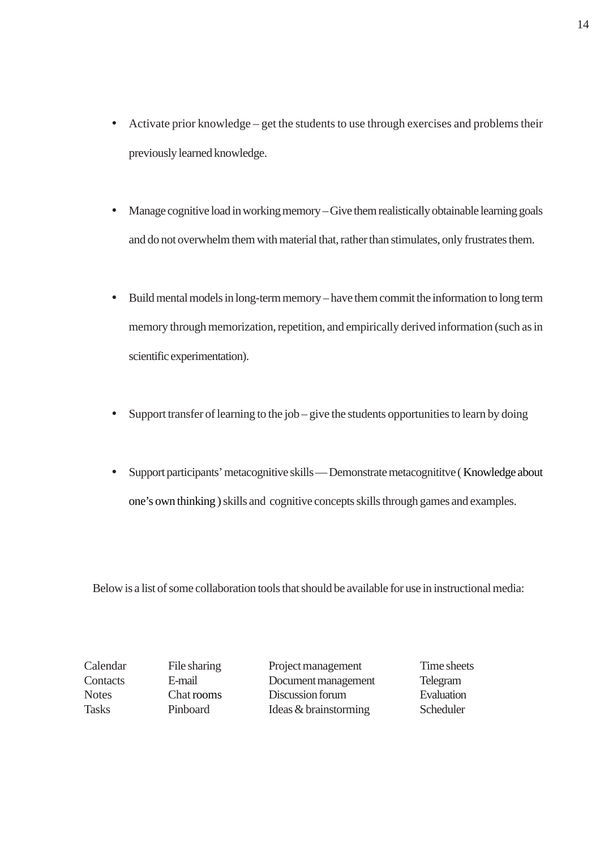- Activate prior knowledge get the students to use through exercises and problems their previously learned knowledge.
- Manage cognitive load in working memory Give them realistically obtainable learning goals and do not overwhelm them with material that, rather than stimulates, only frustrates them.
- Build mental models in long-term memory have them commit the information to long term memory through memorization, repetition, and empirically derived information (such as in scientific experimentation).
- Support transfer of learning to the job give the students opportunities to learn by doing
- Support participants' metacognitive skills Demonstrate metacognititve ( Knowledge about one's own thinking ) skills and cognitive concepts skills through games and examples.

Below is a list of some collaboration tools that should be available for use in instructional media:

Calendar File sharing Project management Time sheets Contacts E-mail Document management Telegram Notes Chat rooms Discussion forum Evaluation Tasks Pinboard Ideas & brainstorming Scheduler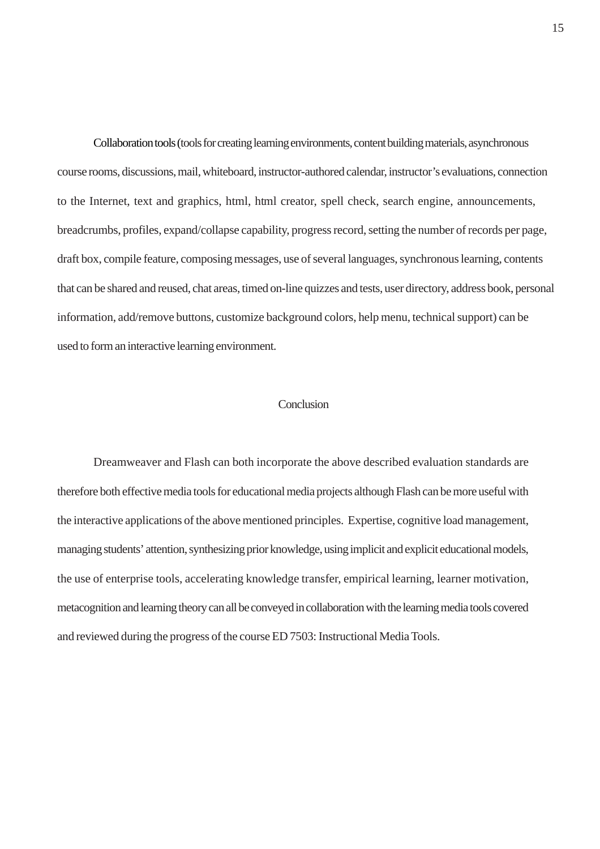<span id="page-15-0"></span>Collaboration tools (tools for creating learning environments, content building materials, asynchronous course rooms, discussions, mail, whiteboard, instructor-authored calendar, instructor's evaluations, connection to the Internet, text and graphics, html, html creator, spell check, search engine, announcements, breadcrumbs, profiles, expand/collapse capability, progress record, setting the number of records per page, draft box, compile feature, composing messages, use of several languages, synchronous learning, contents that can be shared and reused, chat areas, timed on-line quizzes and tests, user directory, address book, personal information, add/remove buttons, customize background colors, help menu, technical support) can be used to form an interactive learning environment.

## Conclusion

Dreamweaver and Flash can both incorporate the above described evaluation standards are therefore both effective media tools for educational media projects although Flash can be more useful with the interactive applications of the above mentioned principles. Expertise, cognitive load management, managing students' attention, synthesizing prior knowledge, using implicit and explicit educational models, the use of enterprise tools, accelerating knowledge transfer, empirical learning, learner motivation, metacognition and learning theory can all be conveyed in collaboration with the learning media tools covered and reviewed during the progress of the course ED 7503: Instructional Media Tools.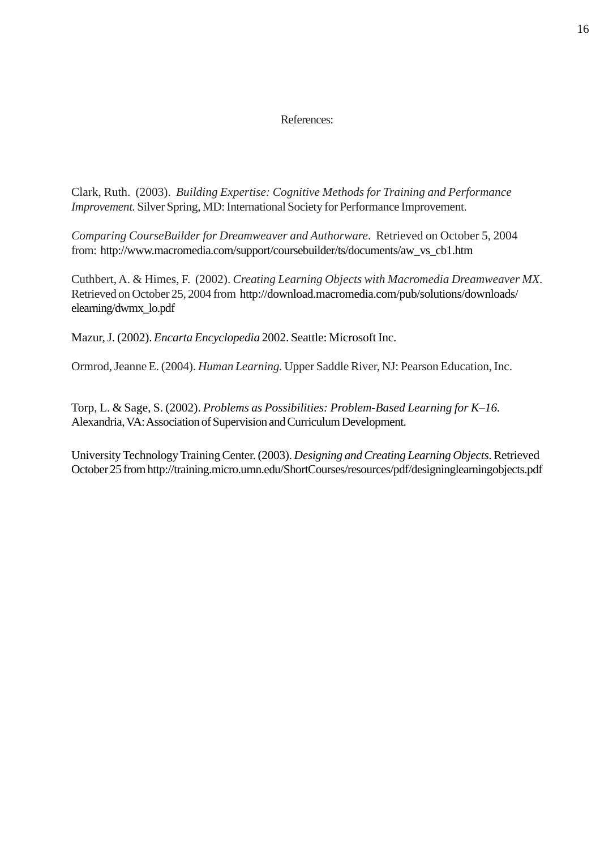## References:

<span id="page-16-0"></span>Clark, Ruth. (2003). *Building Expertise: Cognitive Methods for Training and Performance Improvement.* Silver Spring, MD: International Society for Performance Improvement.

*Comparing CourseBuilder for Dreamweaver and Authorware*. Retrieved on October 5, 2004 from: http://www.macromedia.com/support/coursebuilder/ts/documents/aw\_vs\_cb1.htm

Cuthbert, A. & Himes, F. (2002). *Creating Learning Objects with Macromedia Dreamweaver MX*. Retrieved on October 25, 2004 from http://download.macromedia.com/pub/solutions/downloads/ elearning/dwmx\_lo.pdf

Mazur, J. (2002). *Encarta Encyclopedia* 2002. Seattle: Microsoft Inc.

Ormrod, Jeanne E. (2004). *Human Learning.* Upper Saddle River, NJ: Pearson Education, Inc.

Torp, L. & Sage, S. (2002). *Problems as Possibilities: Problem-Based Learning for K–16.* Alexandria, VA: Association of Supervision and Curriculum Development.

University Technology Training Center. (2003). *Designing and Creating Learning Objects*. Retrieved October 25 from http://training.micro.umn.edu/ShortCourses/resources/pdf/designinglearningobjects.pdf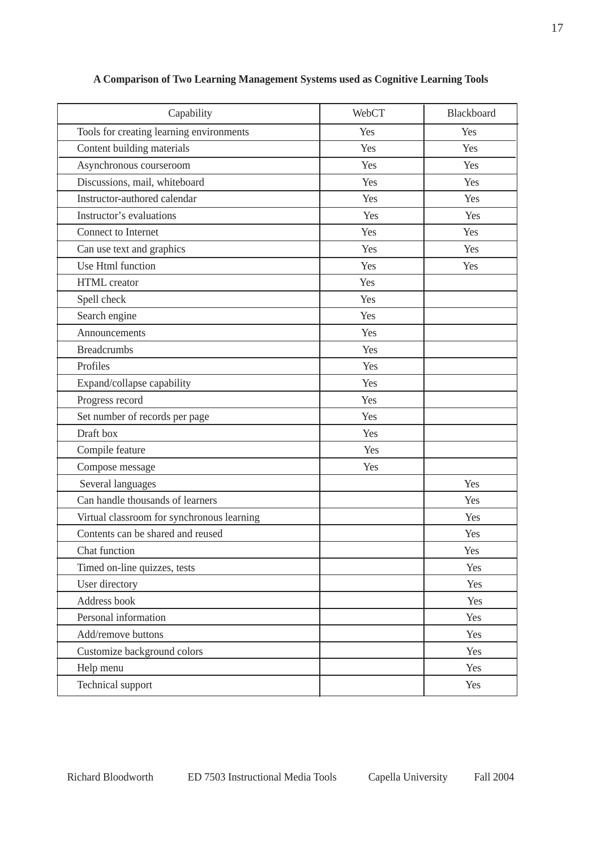| Capability                                 | WebCT | Blackboard |
|--------------------------------------------|-------|------------|
| Tools for creating learning environments   | Yes   | Yes        |
| Content building materials                 | Yes   | Yes        |
| Asynchronous courseroom                    | Yes   | Yes        |
| Discussions, mail, whiteboard              | Yes   | Yes        |
| Instructor-authored calendar               | Yes   | Yes        |
| Instructor's evaluations                   | Yes   | Yes        |
| Connect to Internet                        | Yes   | Yes        |
| Can use text and graphics                  | Yes   | Yes        |
| Use Html function                          | Yes   | Yes        |
| <b>HTML</b> creator                        | Yes   |            |
| Spell check                                | Yes   |            |
| Search engine                              | Yes   |            |
| Announcements                              | Yes   |            |
| <b>Breadcrumbs</b>                         | Yes   |            |
| Profiles                                   | Yes   |            |
| Expand/collapse capability                 | Yes   |            |
| Progress record                            | Yes   |            |
| Set number of records per page             | Yes   |            |
| Draft box                                  | Yes   |            |
| Compile feature                            | Yes   |            |
| Compose message                            | Yes   |            |
| Several languages                          |       | Yes        |
| Can handle thousands of learners           |       | Yes        |
| Virtual classroom for synchronous learning |       | Yes        |
| Contents can be shared and reused          |       | Yes        |
| Chat function                              |       | Yes        |
| Timed on-line quizzes, tests               |       | Yes        |
| User directory                             |       | Yes        |
| Address book                               |       | Yes        |
| Personal information                       |       | Yes        |
| Add/remove buttons                         |       | Yes        |
| Customize background colors                |       | Yes        |
| Help menu                                  |       | Yes        |
| Technical support                          |       | Yes        |

# <span id="page-17-0"></span>**A Comparison of Two Learning Management Systems used as Cognitive Learning Tools**